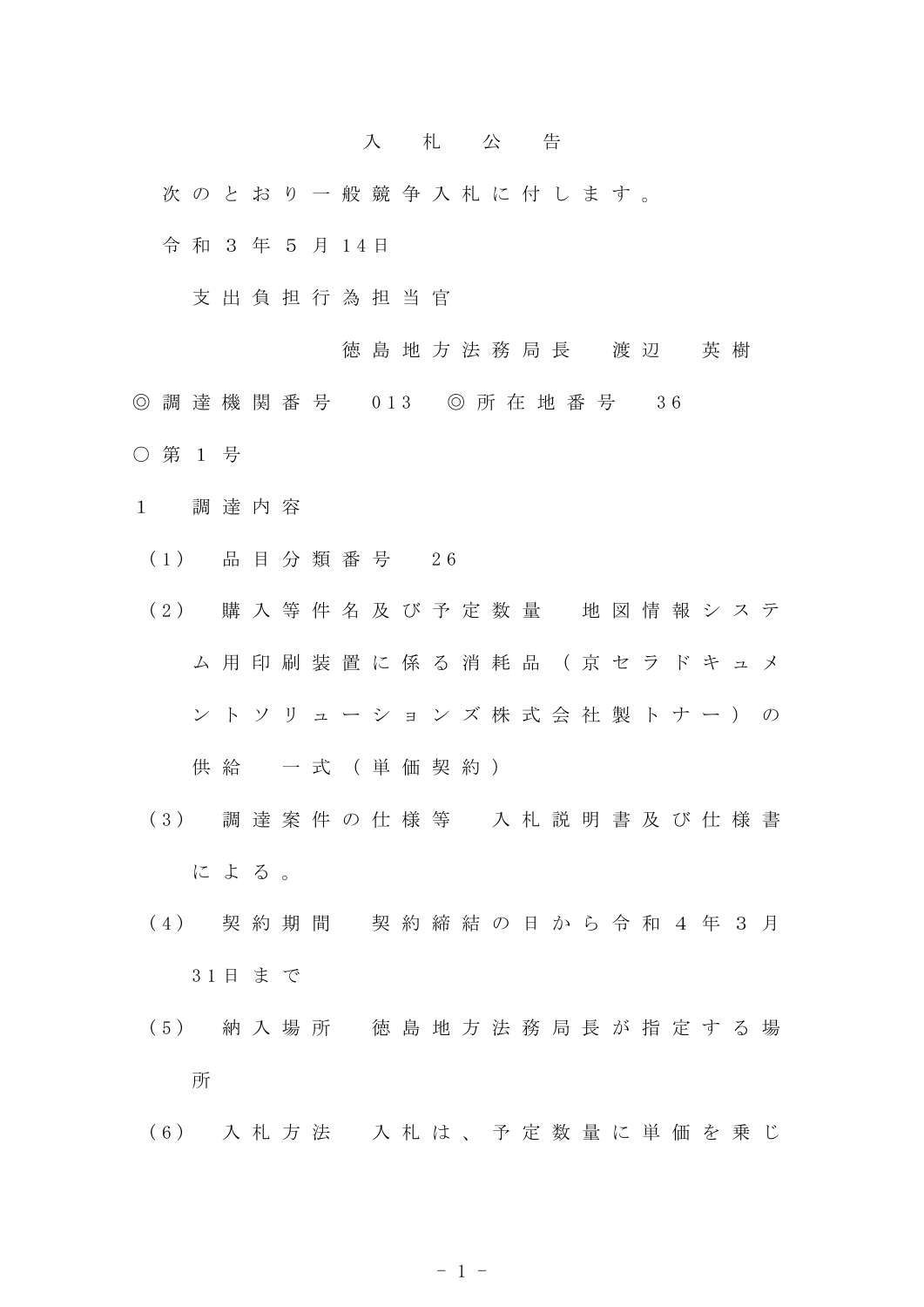## 入 札 公 告

次 の と お り 一 般 競 争 入 札 に 付 し ま す 。

令 和 3 年 5 月 1 4 日

支 出 負 担 行 為 担 当 官

徳 島 地 方 法 務 局 長 渡 辺 英 樹

- ◎ 調 達 機 関 番 号 013 ◎ 所 在 地 番 号 36
- 第 1 号
- 1 調 達 内 容
	- ( 1 ) 品 目 分 類 番 号 2 6
	- ( 2 ) 購 入 等 件 名 及 び 予 定 数 量 地 図 情 報 シ ス テ ム 用 印 刷 装 置 に 係 る 消 耗 品 (京 セ ラ ド キ ュ メ ン ト ソ リ ュ ー シ ョ ン ズ 株 式 会 社 製 ト ナ ー ) の

供 給 一 式 (単 価 契 約 )

- ( 3 ) 調 達 案 件 の 仕 様 等 入 札 説 明 書 及 び 仕 様 書 に よ る 。
- ( 4 ) 契 約 期 間 契 約 締 結 の 日 か ら 令 和 4 年 3 月 3 1 日 ま で
- ( 5 ) 納 入 場 所 徳 島 地 方 法 務 局 長 が 指 定 す る 場 所
- ( 6 ) 入 札 方 法 入 札 は 、 予 定 数 量 に 単 価 を 乗 じ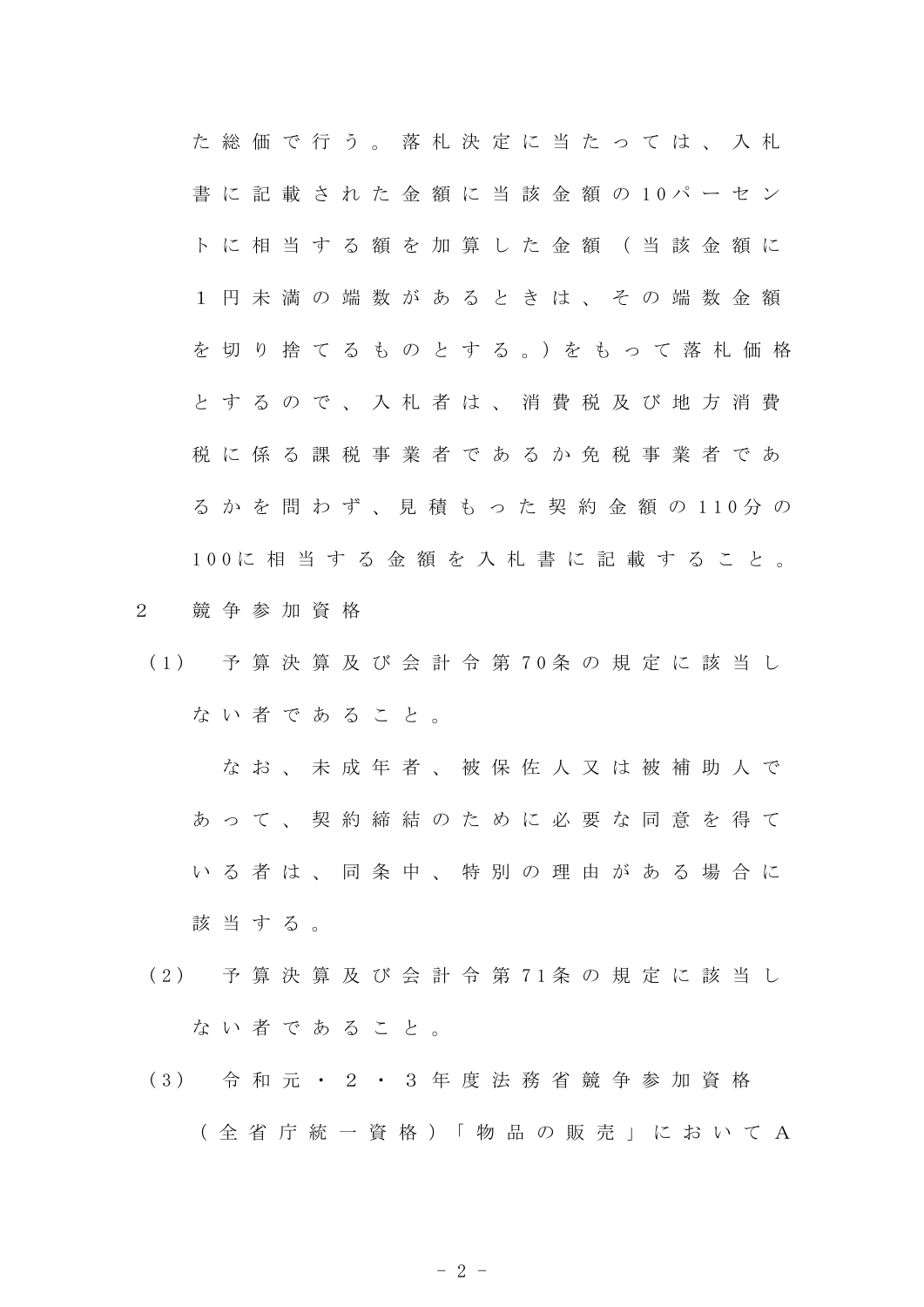た 総 価 で 行 う 。 落 札 決 定 に 当 た っ て は 、 入 札 書 に 記 載 さ れ た 金 額 に 当 該 金 額 の 1 0 パ ー セ ン ト に 相 当 す る 額 を 加 算 し た 金 額 ( 当 該 金 額 に 1 円 未 満 の 端 数 が あ る と き は 、 そ の 端 数 金 額 を 切 り 捨 て る も の と す る 。)を も っ て 落 札 価 格 と す る の で 、 入 札 者 は 、 消 費 税 及 び 地 方 消 費 税 に 係 る 課 税 事 業 者 で あ る か 免 税 事 業 者 で あ る か を 問 わ ず 、 見 積 も っ た 契 約 金 額 の 1 1 0 分 の 1 0 0 に 相 当 す る 金 額 を 入 札 書 に 記 載 す る こ と 。

- 2 競 争 参 加 資 格
- ( 1 ) 予 算 決 算 及 び 会 計 令 第 7 0 条 の 規 定 に 該 当 し ない者であること。

な お 、 未 成 年 者 、 被 保 佐 人 又 は 被 補 助 人 で あ っ て 、 契 約 締 結 の た め に 必 要 な 同 意 を 得 て い る 者 は 、 同 条 中 、 特 別 の 理 由 が あ る 場 合 に 該当する。

- ( 2 ) 予 算 決 算 及 び 会 計 令 第 7 1 条 の 規 定 に 該 当 し な い 者 で あ る こ と 。
- ( 3 ) 令 和 元 ・ 2 ・ 3 年 度 法 務 省 競 争 参 加 資 格 ( 全 省 庁 統 一 資 格 )「 物 品 の 販 売 」 に お い て A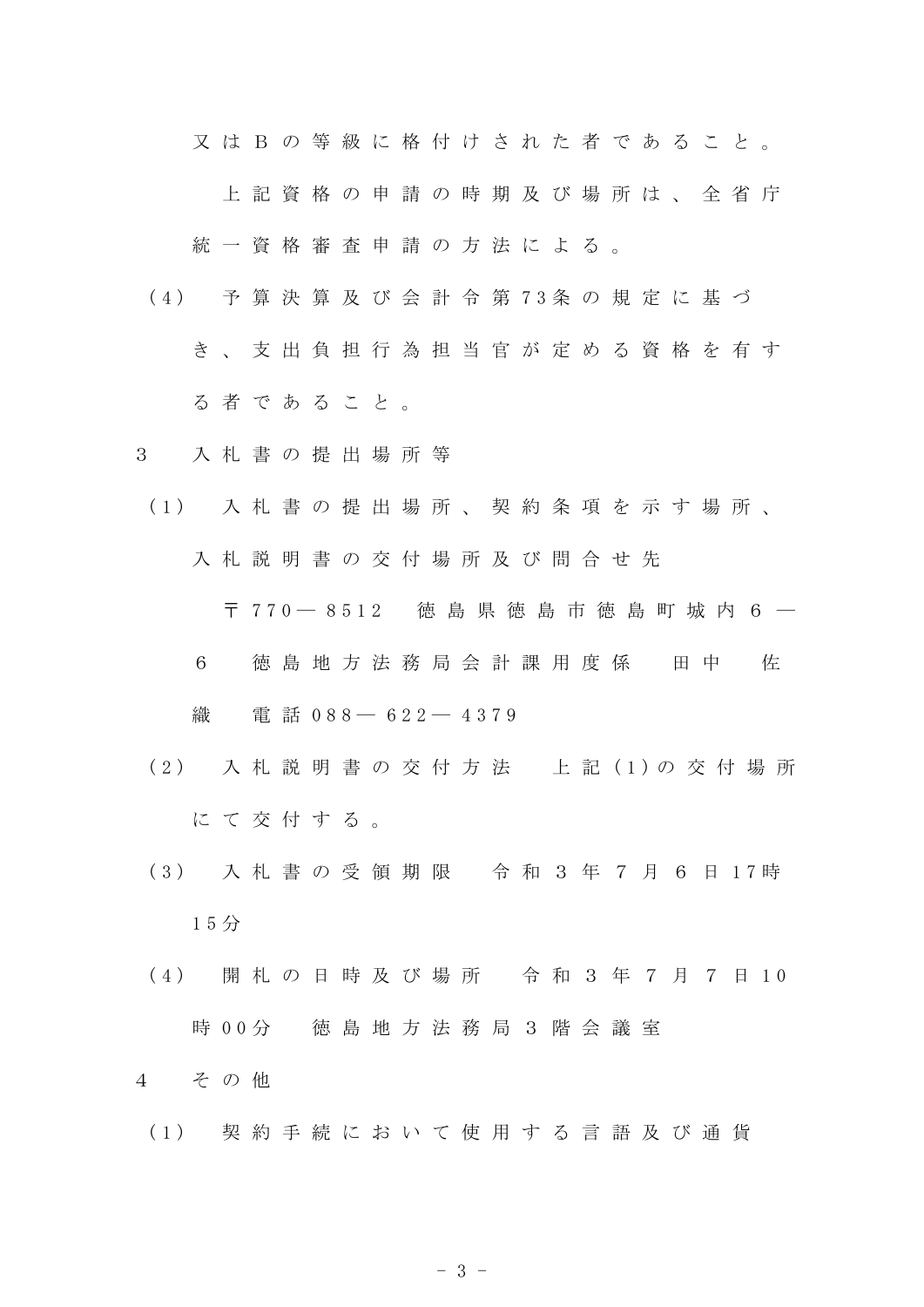又 は B の 等 級 に 格 付 け さ れ た 者 で あ る こ と 。

上 記 資 格 の 申 請 の 時 期 及 び 場 所 は 、 全 省 庁

統一資格審査申請の方法による。

- ( 4 ) 予 算 決 算 及 び 会 計 令 第 7 3 条 の 規 定 に 基 づ
	- き 、 支 出 負 担 行 為 担 当 官 が 定 め る 資 格 を 有 す る 者 で あ る こ と 。
- 3 入 札 書 の 提 出 場 所 等
- ( 1 ) 入 札 書 の 提 出 場 所 、 契 約 条 項 を 示 す 場 所 、 入 札 説 明 書 の 交 付 場 所 及 び 問 合 せ 先

〒 7 7 0 ― 8 5 1 2 徳 島 県 徳 島 市 徳 島 町 城 内 6 ―

6 徳 島 地 方 法 務 局 会 計 課 用 度 係 田 中 佐

織 電話 0 8 8 – 6 2 2 – 4 3 7 9

- ( 2 ) 入 札 説 明 書 の 交 付 方 法 上 記 ( 1 ) の 交 付 場 所 にて交付する。
- ( 3 ) 入 札 書 の 受 領 期 限 令 和 3 年 7 月 6 日 1 7 時 1 5 分
- (4) 開札の日時及び場所 令和3年7月7日10 時 0 0 分 徳 島 地 方 法 務 局 3 階 会 議 室

4 そ の 他

( 1 ) 契 約 手 続 に お い て 使 用 す る 言 語 及 び 通 貨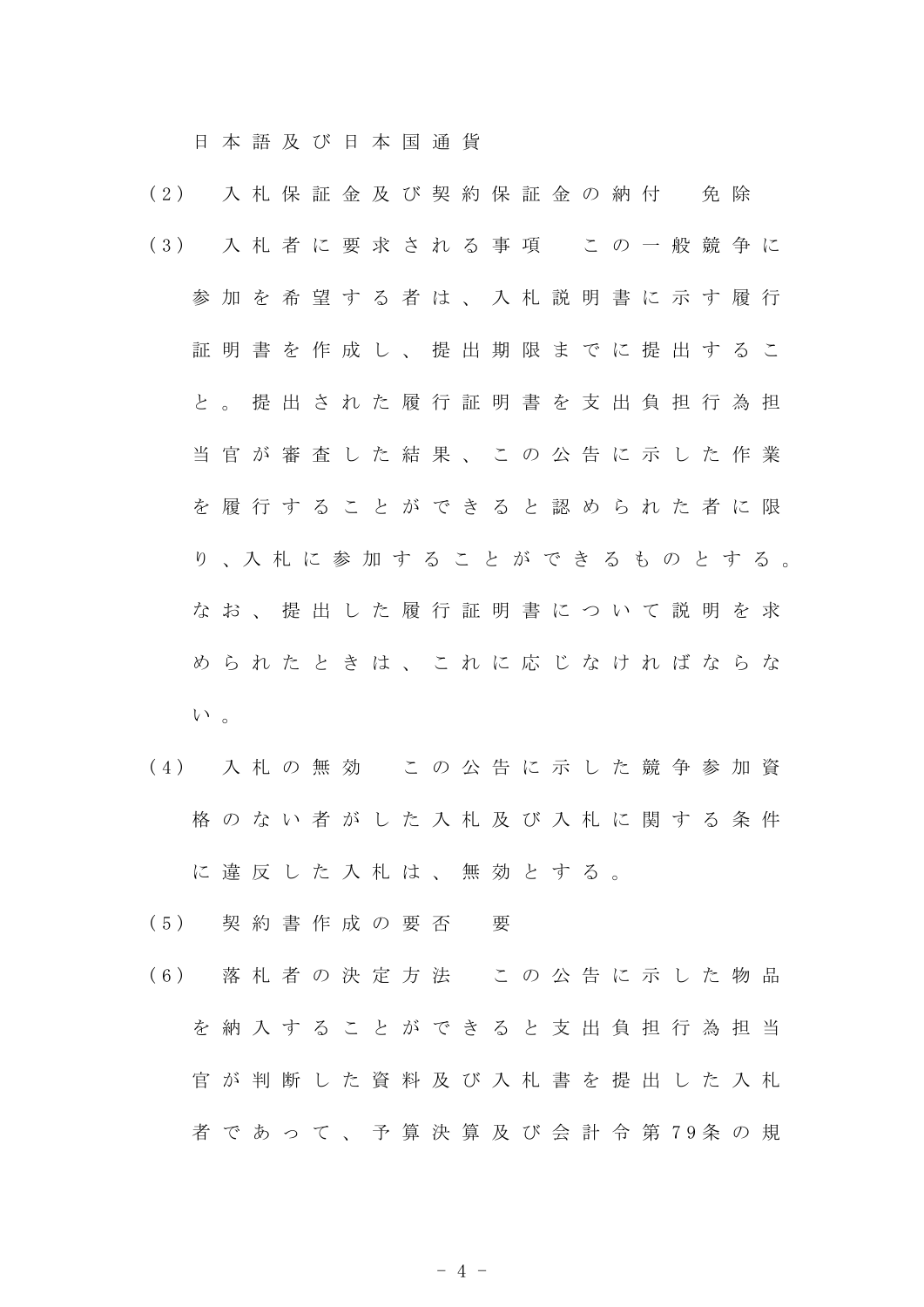日 本 語 及 び 日 本 国 通 貨

- (2) 入 札 保 証 金 及 び 契 約 保 証 金 の 納 付 免 除 ( 3 ) 入 札 者 に 要 求 さ れ る 事 項 こ の 一 般 競 争 に 参 加 を 希 望 す る 者 は 、 入 札 説 明 書 に 示 す 履 行 証 明 書 を 作 成 し 、 提 出 期 限 ま で に 提 出 す る こ と 。 提 出 さ れ た 履 行 証 明 書 を 支 出 負 担 行 為 担 当 官 が 審 査 し た 結 果 、 こ の 公 告 に 示 し た 作 業 を 履 行 す る こ と が で き る と 認 め ら れ た 者 に 限 り 、入 札 に 参 加 す る こ と が で き る も の と す る 。 な お 、 提 出 し た 履 行 証 明 書 に つ い て 説 明 を 求 め ら れ た と き は 、 こ れ に 応 じ な け れ ば な ら な  $V^{\lambda}$ 。
- ( 4 ) 入 札 の 無 効 こ の 公 告 に 示 し た 競 争 参 加 資 格 の な い 者 が し た 入 札 及 び 入 札 に 関 す る 条 件 に 違 反 し た 入 札 は 、 無 効 と す る 。
- ( 5 ) 契 約 書 作 成 の 要 否 要
- ( 6 ) 落 札 者 の 決 定 方 法 こ の 公 告 に 示 し た 物 品 を 納 入 す る こ と が で き る と 支 出 負 担 行 為 担 当 官 が 判 断 し た 資 料 及 び 入 札 書 を 提 出 し た 入 札 者 で あ っ て 、 予 算 決 算 及 び 会 計 令 第 7 9 条 の 規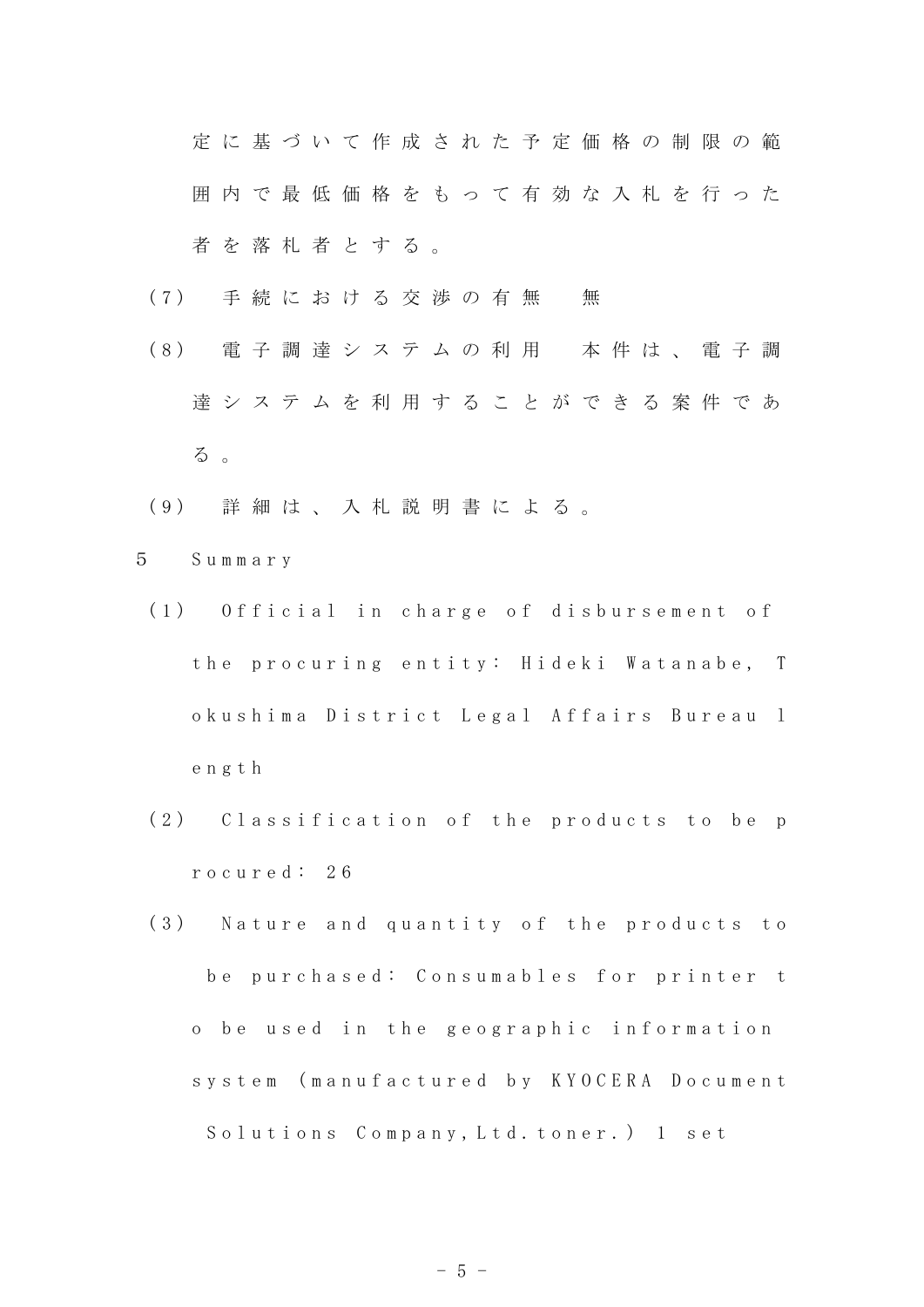定 に 基 づ い て 作 成 さ れ た 予 定 価 格 の 制 限 の 範 囲 内 で 最 低 価 格 を も っ て 有 効 な 入 札 を 行 っ た 者 を 落 札 者 と す る 。

- (7) 手続における交渉の有無 無
- ( 8 ) 電 子 調 達 シ ス テ ム の 利 用 本 件 は 、 電 子 調 達 シ ス テ ム を 利 用 す る こ と が で き る 案 件 で あ る 。
- ( 9 ) 詳 細 は 、 入 札 説 明 書 に よ る 。
- 5 S u m m a r y
	- (1) Official in charge of disbursement of the procuring entity: Hideki Watanabe, T o ku sh i ma District Legal Affairs Bureau 1 e n g t h
	- (2) Classification of the products to be p r o c u r e d : 2 6
	- (3) Nature and quantity of the products to be purchased: Consumables for printer t o be used in the geographic information s y s t e m ( m a n u f a c t u r e d b y K Y O C E R A D o c u m e n t Solutions Company, Ltd. toner.) 1 set

 $-5 -$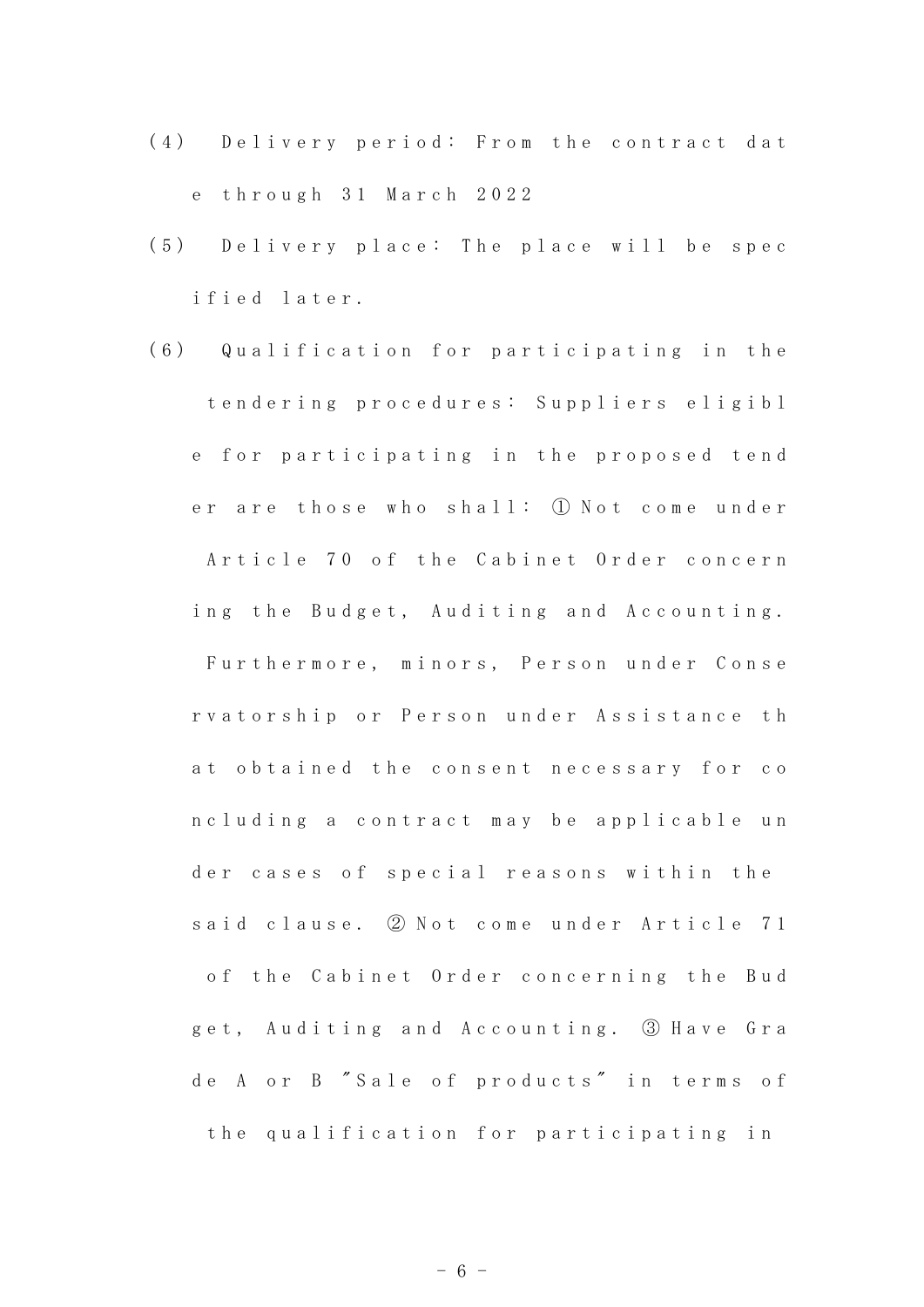- (4) Delivery period: From the contract dat e t h r o u g h 3 1 M a r c h 2 0 2 2
- (5) Delivery place: The place will be spec ified later.
- (6) Qualification for participating in the t en d e r i n g p r o c e d u r e s : S u p p l i e r s e l i g i b l e for participating in the proposed tend er are those who shall: ① Not come under Article 70 of the Cabinet Order concern ing the Budget, Auditing and Accounting. Furthermore, minors, Person under Conse rvatorship or Person under Assistance th at obtained the consent necessary for co n c l u d i n g a c o n t r a c t m a y b e a p p l i c a b l e u n der cases of special reasons within the said clause. ② Not come under Article 71 of the Cabinet Order concerning the Bud get, Auditing and Accounting. 3 Have Gra de A or B "Sale of products" in terms of the qualification for participating in